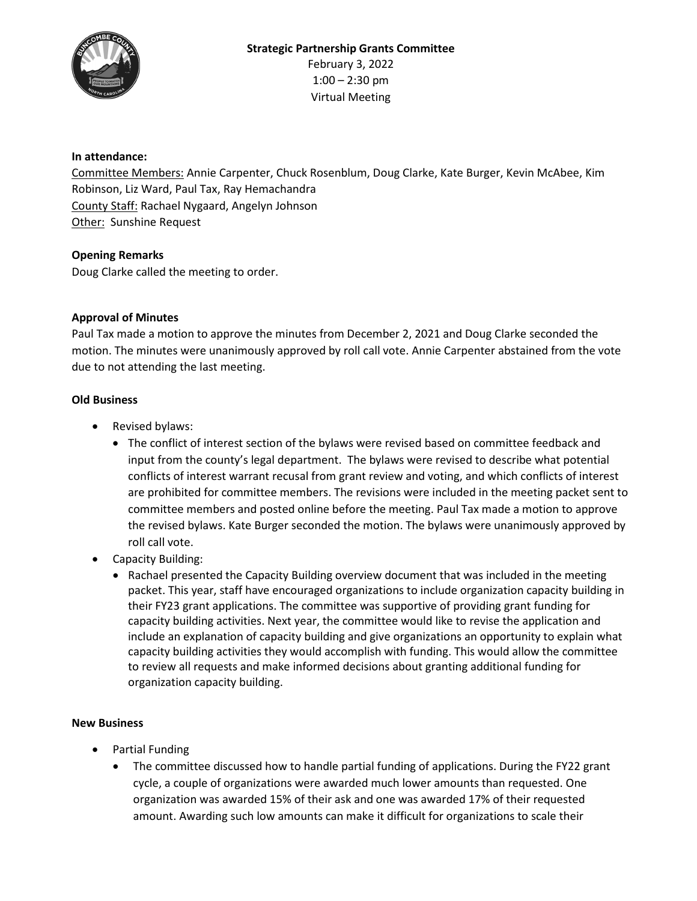

## **In attendance:**

Committee Members: Annie Carpenter, Chuck Rosenblum, Doug Clarke, Kate Burger, Kevin McAbee, Kim Robinson, Liz Ward, Paul Tax, Ray Hemachandra County Staff: Rachael Nygaard, Angelyn Johnson Other: Sunshine Request

### **Opening Remarks**

Doug Clarke called the meeting to order.

# **Approval of Minutes**

Paul Tax made a motion to approve the minutes from December 2, 2021 and Doug Clarke seconded the motion. The minutes were unanimously approved by roll call vote. Annie Carpenter abstained from the vote due to not attending the last meeting.

### **Old Business**

- Revised bylaws:
	- The conflict of interest section of the bylaws were revised based on committee feedback and input from the county's legal department. The bylaws were revised to describe what potential conflicts of interest warrant recusal from grant review and voting, and which conflicts of interest are prohibited for committee members. The revisions were included in the meeting packet sent to committee members and posted online before the meeting. Paul Tax made a motion to approve the revised bylaws. Kate Burger seconded the motion. The bylaws were unanimously approved by roll call vote.
- Capacity Building:
	- Rachael presented the Capacity Building overview document that was included in the meeting packet. This year, staff have encouraged organizations to include organization capacity building in their FY23 grant applications. The committee was supportive of providing grant funding for capacity building activities. Next year, the committee would like to revise the application and include an explanation of capacity building and give organizations an opportunity to explain what capacity building activities they would accomplish with funding. This would allow the committee to review all requests and make informed decisions about granting additional funding for organization capacity building.

### **New Business**

- Partial Funding
	- The committee discussed how to handle partial funding of applications. During the FY22 grant cycle, a couple of organizations were awarded much lower amounts than requested. One organization was awarded 15% of their ask and one was awarded 17% of their requested amount. Awarding such low amounts can make it difficult for organizations to scale their